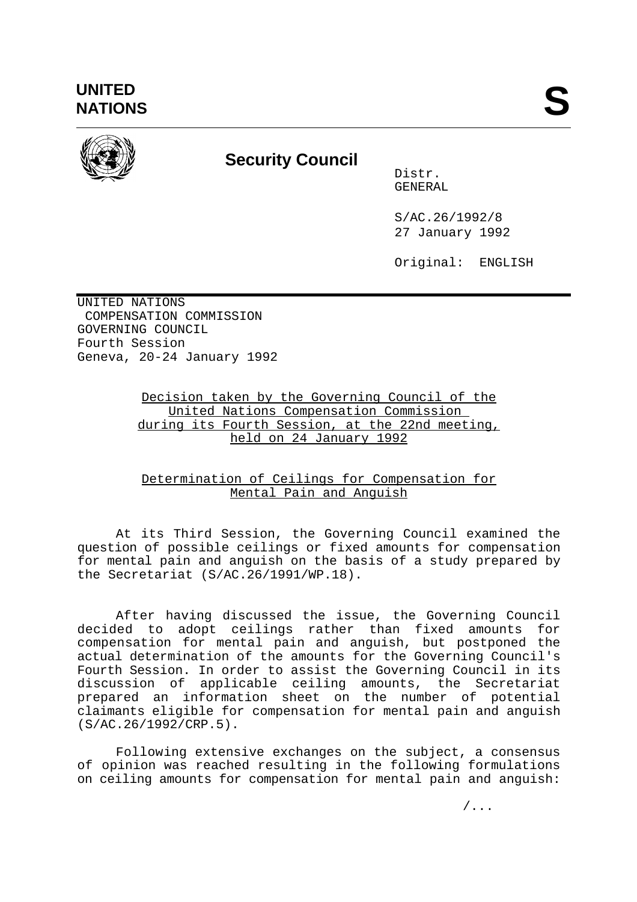

## **Security Council**

Distr. GENERAL

S/AC.26/1992/8 27 January 1992

Original: ENGLISH

UNITED NATIONS COMPENSATION COMMISSION GOVERNING COUNCIL Fourth Session Geneva, 20-24 January 1992

> Decision taken by the Governing Council of the United Nations Compensation Commission during its Fourth Session, at the 22nd meeting, held on 24 January 1992

## Determination of Ceilings for Compensation for Mental Pain and Anguish

At its Third Session, the Governing Council examined the question of possible ceilings or fixed amounts for compensation for mental pain and anguish on the basis of a study prepared by the Secretariat (S/AC.26/1991/WP.18).

After having discussed the issue, the Governing Council decided to adopt ceilings rather than fixed amounts for compensation for mental pain and anguish, but postponed the actual determination of the amounts for the Governing Council's Fourth Session. In order to assist the Governing Council in its discussion of applicable ceiling amounts, the Secretariat prepared an information sheet on the number of potential claimants eligible for compensation for mental pain and anguish (S/AC.26/1992/CRP.5).

Following extensive exchanges on the subject, a consensus of opinion was reached resulting in the following formulations on ceiling amounts for compensation for mental pain and anguish: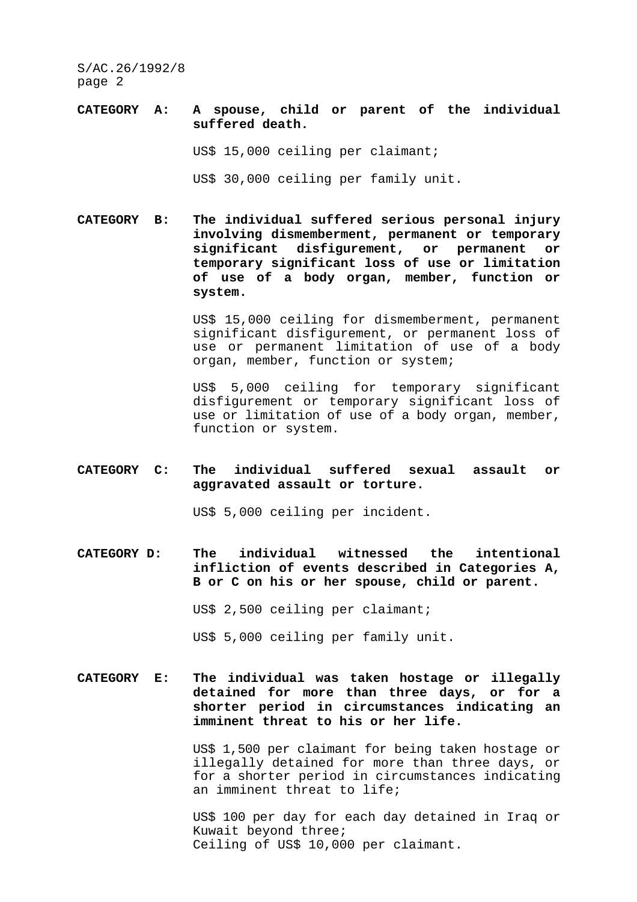S/AC.26/1992/8 page 2

- **CATEGORY A: A spouse, child or parent of the individual suffered death.** US\$ 15,000 ceiling per claimant; US\$ 30,000 ceiling per family unit.
- **CATEGORY B: The individual suffered serious personal injury involving dismemberment, permanent or temporary significant disfigurement, or permanent or temporary significant loss of use or limitation of use of a body organ, member, function or system.**

 US\$ 15,000 ceiling for dismemberment, permanent significant disfigurement, or permanent loss of use or permanent limitation of use of a body organ, member, function or system;

 US\$ 5,000 ceiling for temporary significant disfigurement or temporary significant loss of use or limitation of use of a body organ, member, function or system.

## **CATEGORY C: The individual suffered sexual assault or aggravated assault or torture.**

US\$ 5,000 ceiling per incident.

**CATEGORY D: The individual witnessed the intentional infliction of events described in Categories A, B or C on his or her spouse, child or parent.**

US\$ 2,500 ceiling per claimant;

US\$ 5,000 ceiling per family unit.

**CATEGORY E: The individual was taken hostage or illegally detained for more than three days, or for a shorter period in circumstances indicating an imminent threat to his or her life.**

> US\$ 1,500 per claimant for being taken hostage or illegally detained for more than three days, or for a shorter period in circumstances indicating an imminent threat to life;

> US\$ 100 per day for each day detained in Iraq or Kuwait beyond three; Ceiling of US\$ 10,000 per claimant.